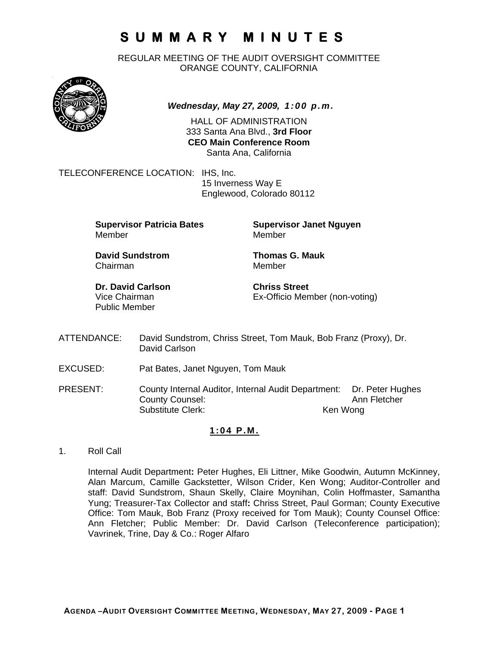REGULAR MEETING OF THE AUDIT OVERSIGHT COMMITTEE ORANGE COUNTY, CALIFORNIA



*Wednesday, May 27, 2009, 1:00 p.m.*

HALL OF ADMINISTRATION 333 Santa Ana Blvd., **3rd Floor CEO Main Conference Room**  Santa Ana, California

TELECONFERENCE LOCATION: IHS, Inc.

 15 Inverness Way E Englewood, Colorado 80112

**Supervisor Patricia Bates Supervisor Janet Nguyen** Member Member

**David Sundstrom Thomas G. Mauk**  Chairman Member

**Dr. David Carlson Chriss Street** Public Member

Vice Chairman Ex-Officio Member (non-voting)

- ATTENDANCE: David Sundstrom, Chriss Street, Tom Mauk, Bob Franz (Proxy), Dr. David Carlson
- EXCUSED: Pat Bates, Janet Nguyen, Tom Mauk
- PRESENT: County Internal Auditor, Internal Audit Department: Dr. Peter Hughes County Counsel: Substitute Clerk: Ken Wong

### **1:04 P.M.**

1. Roll Call

Internal Audit Department**:** Peter Hughes, Eli Littner, Mike Goodwin, Autumn McKinney, Alan Marcum, Camille Gackstetter, Wilson Crider, Ken Wong; Auditor-Controller and staff: David Sundstrom, Shaun Skelly, Claire Moynihan, Colin Hoffmaster, Samantha Yung; Treasurer-Tax Collector and staff**:** Chriss Street, Paul Gorman; County Executive Office: Tom Mauk, Bob Franz (Proxy received for Tom Mauk); County Counsel Office: Ann Fletcher; Public Member: Dr. David Carlson (Teleconference participation); Vavrinek, Trine, Day & Co.: Roger Alfaro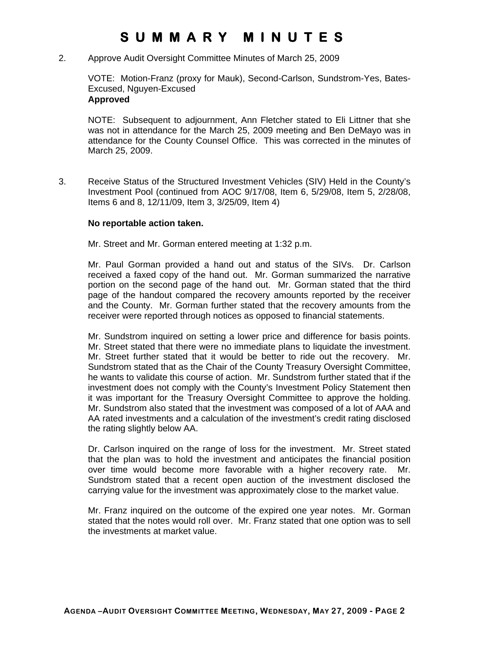2. Approve Audit Oversight Committee Minutes of March 25, 2009

VOTE: Motion-Franz (proxy for Mauk), Second-Carlson, Sundstrom-Yes, Bates-Excused, Nguyen-Excused **Approved** 

### NOTE: Subsequent to adjournment, Ann Fletcher stated to Eli Littner that she was not in attendance for the March 25, 2009 meeting and Ben DeMayo was in attendance for the County Counsel Office. This was corrected in the minutes of March 25, 2009.

3. Receive Status of the Structured Investment Vehicles (SIV) Held in the County's Investment Pool (continued from AOC 9/17/08, Item 6, 5/29/08, Item 5, 2/28/08, Items 6 and 8, 12/11/09, Item 3, 3/25/09, Item 4)

#### **No reportable action taken.**

Mr. Street and Mr. Gorman entered meeting at 1:32 p.m.

Mr. Paul Gorman provided a hand out and status of the SIVs. Dr. Carlson received a faxed copy of the hand out. Mr. Gorman summarized the narrative portion on the second page of the hand out. Mr. Gorman stated that the third page of the handout compared the recovery amounts reported by the receiver and the County. Mr. Gorman further stated that the recovery amounts from the receiver were reported through notices as opposed to financial statements.

Mr. Sundstrom inquired on setting a lower price and difference for basis points. Mr. Street stated that there were no immediate plans to liquidate the investment. Mr. Street further stated that it would be better to ride out the recovery. Mr. Sundstrom stated that as the Chair of the County Treasury Oversight Committee, he wants to validate this course of action. Mr. Sundstrom further stated that if the investment does not comply with the County's Investment Policy Statement then it was important for the Treasury Oversight Committee to approve the holding. Mr. Sundstrom also stated that the investment was composed of a lot of AAA and AA rated investments and a calculation of the investment's credit rating disclosed the rating slightly below AA.

Dr. Carlson inquired on the range of loss for the investment. Mr. Street stated that the plan was to hold the investment and anticipates the financial position over time would become more favorable with a higher recovery rate. Mr. Sundstrom stated that a recent open auction of the investment disclosed the carrying value for the investment was approximately close to the market value.

Mr. Franz inquired on the outcome of the expired one year notes. Mr. Gorman stated that the notes would roll over. Mr. Franz stated that one option was to sell the investments at market value.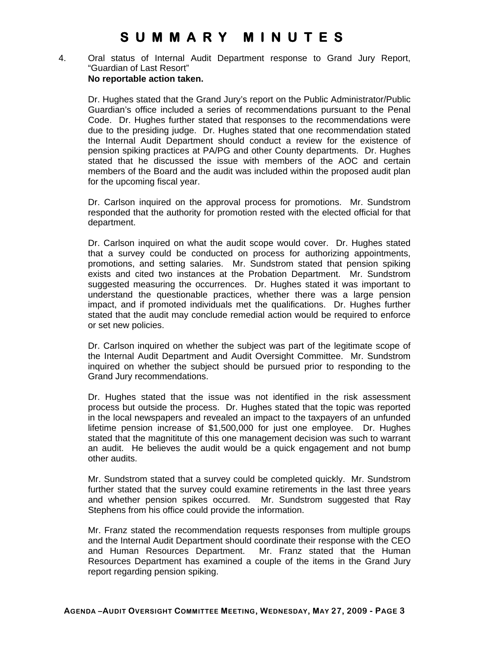4. Oral status of Internal Audit Department response to Grand Jury Report, "Guardian of Last Resort" **No reportable action taken.** 

Dr. Hughes stated that the Grand Jury's report on the Public Administrator/Public Guardian's office included a series of recommendations pursuant to the Penal Code. Dr. Hughes further stated that responses to the recommendations were due to the presiding judge. Dr. Hughes stated that one recommendation stated the Internal Audit Department should conduct a review for the existence of pension spiking practices at PA/PG and other County departments. Dr. Hughes stated that he discussed the issue with members of the AOC and certain members of the Board and the audit was included within the proposed audit plan for the upcoming fiscal year.

Dr. Carlson inquired on the approval process for promotions. Mr. Sundstrom responded that the authority for promotion rested with the elected official for that department.

Dr. Carlson inquired on what the audit scope would cover. Dr. Hughes stated that a survey could be conducted on process for authorizing appointments, promotions, and setting salaries. Mr. Sundstrom stated that pension spiking exists and cited two instances at the Probation Department. Mr. Sundstrom suggested measuring the occurrences. Dr. Hughes stated it was important to understand the questionable practices, whether there was a large pension impact, and if promoted individuals met the qualifications. Dr. Hughes further stated that the audit may conclude remedial action would be required to enforce or set new policies.

Dr. Carlson inquired on whether the subject was part of the legitimate scope of the Internal Audit Department and Audit Oversight Committee. Mr. Sundstrom inquired on whether the subject should be pursued prior to responding to the Grand Jury recommendations.

Dr. Hughes stated that the issue was not identified in the risk assessment process but outside the process. Dr. Hughes stated that the topic was reported in the local newspapers and revealed an impact to the taxpayers of an unfunded lifetime pension increase of \$1,500,000 for just one employee. Dr. Hughes stated that the magnititute of this one management decision was such to warrant an audit. He believes the audit would be a quick engagement and not bump other audits.

Mr. Sundstrom stated that a survey could be completed quickly. Mr. Sundstrom further stated that the survey could examine retirements in the last three years and whether pension spikes occurred. Mr. Sundstrom suggested that Ray Stephens from his office could provide the information.

Mr. Franz stated the recommendation requests responses from multiple groups and the Internal Audit Department should coordinate their response with the CEO and Human Resources Department. Mr. Franz stated that the Human Resources Department has examined a couple of the items in the Grand Jury report regarding pension spiking.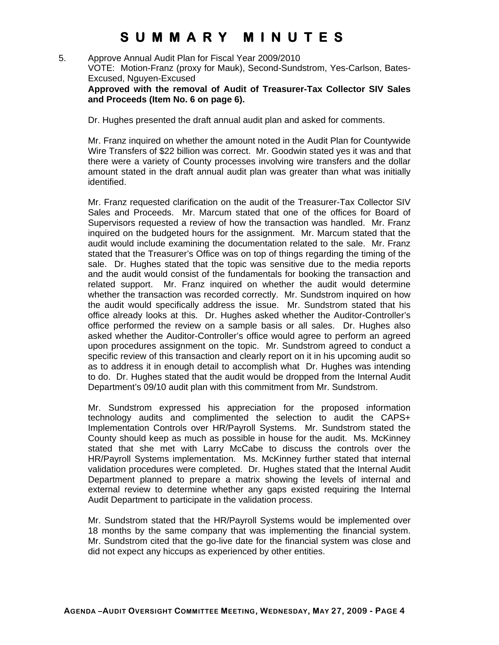5. Approve Annual Audit Plan for Fiscal Year 2009/2010 VOTE: Motion-Franz (proxy for Mauk), Second-Sundstrom, Yes-Carlson, Bates-Excused, Nguyen-Excused **Approved with the removal of Audit of Treasurer-Tax Collector SIV Sales** 

**and Proceeds (Item No. 6 on page 6).** 

Dr. Hughes presented the draft annual audit plan and asked for comments.

Mr. Franz inquired on whether the amount noted in the Audit Plan for Countywide Wire Transfers of \$22 billion was correct. Mr. Goodwin stated yes it was and that there were a variety of County processes involving wire transfers and the dollar amount stated in the draft annual audit plan was greater than what was initially identified.

Mr. Franz requested clarification on the audit of the Treasurer-Tax Collector SIV Sales and Proceeds. Mr. Marcum stated that one of the offices for Board of Supervisors requested a review of how the transaction was handled. Mr. Franz inquired on the budgeted hours for the assignment. Mr. Marcum stated that the audit would include examining the documentation related to the sale. Mr. Franz stated that the Treasurer's Office was on top of things regarding the timing of the sale. Dr. Hughes stated that the topic was sensitive due to the media reports and the audit would consist of the fundamentals for booking the transaction and related support. Mr. Franz inquired on whether the audit would determine whether the transaction was recorded correctly. Mr. Sundstrom inquired on how the audit would specifically address the issue. Mr. Sundstrom stated that his office already looks at this. Dr. Hughes asked whether the Auditor-Controller's office performed the review on a sample basis or all sales. Dr. Hughes also asked whether the Auditor-Controller's office would agree to perform an agreed upon procedures assignment on the topic. Mr. Sundstrom agreed to conduct a specific review of this transaction and clearly report on it in his upcoming audit so as to address it in enough detail to accomplish what Dr. Hughes was intending to do. Dr. Hughes stated that the audit would be dropped from the Internal Audit Department's 09/10 audit plan with this commitment from Mr. Sundstrom.

Mr. Sundstrom expressed his appreciation for the proposed information technology audits and complimented the selection to audit the CAPS+ Implementation Controls over HR/Payroll Systems. Mr. Sundstrom stated the County should keep as much as possible in house for the audit. Ms. McKinney stated that she met with Larry McCabe to discuss the controls over the HR/Payroll Systems implementation. Ms. McKinney further stated that internal validation procedures were completed. Dr. Hughes stated that the Internal Audit Department planned to prepare a matrix showing the levels of internal and external review to determine whether any gaps existed requiring the Internal Audit Department to participate in the validation process.

Mr. Sundstrom stated that the HR/Payroll Systems would be implemented over 18 months by the same company that was implementing the financial system. Mr. Sundstrom cited that the go-live date for the financial system was close and did not expect any hiccups as experienced by other entities.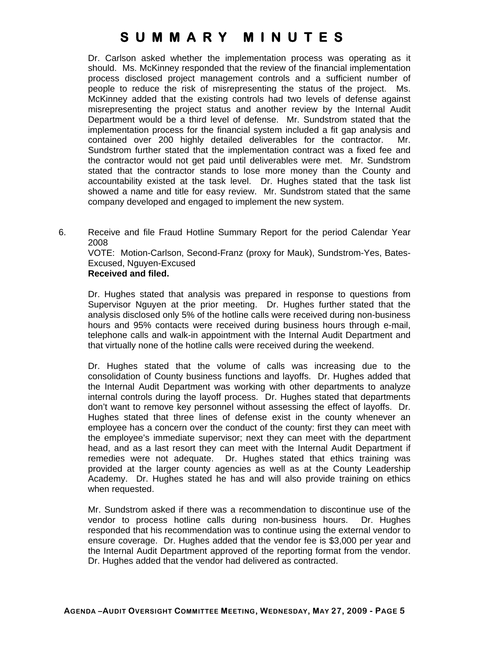Dr. Carlson asked whether the implementation process was operating as it should. Ms. McKinney responded that the review of the financial implementation process disclosed project management controls and a sufficient number of people to reduce the risk of misrepresenting the status of the project. Ms. McKinney added that the existing controls had two levels of defense against misrepresenting the project status and another review by the Internal Audit Department would be a third level of defense. Mr. Sundstrom stated that the implementation process for the financial system included a fit gap analysis and contained over 200 highly detailed deliverables for the contractor. Mr. Sundstrom further stated that the implementation contract was a fixed fee and the contractor would not get paid until deliverables were met. Mr. Sundstrom stated that the contractor stands to lose more money than the County and accountability existed at the task level. Dr. Hughes stated that the task list showed a name and title for easy review. Mr. Sundstrom stated that the same company developed and engaged to implement the new system.

6. Receive and file Fraud Hotline Summary Report for the period Calendar Year 2008

VOTE: Motion-Carlson, Second-Franz (proxy for Mauk), Sundstrom-Yes, Bates-Excused, Nguyen-Excused

### **Received and filed.**

Dr. Hughes stated that analysis was prepared in response to questions from Supervisor Nguyen at the prior meeting. Dr. Hughes further stated that the analysis disclosed only 5% of the hotline calls were received during non-business hours and 95% contacts were received during business hours through e-mail, telephone calls and walk-in appointment with the Internal Audit Department and that virtually none of the hotline calls were received during the weekend.

Dr. Hughes stated that the volume of calls was increasing due to the consolidation of County business functions and layoffs. Dr. Hughes added that the Internal Audit Department was working with other departments to analyze internal controls during the layoff process. Dr. Hughes stated that departments don't want to remove key personnel without assessing the effect of layoffs. Dr. Hughes stated that three lines of defense exist in the county whenever an employee has a concern over the conduct of the county: first they can meet with the employee's immediate supervisor; next they can meet with the department head, and as a last resort they can meet with the Internal Audit Department if remedies were not adequate. Dr. Hughes stated that ethics training was provided at the larger county agencies as well as at the County Leadership Academy. Dr. Hughes stated he has and will also provide training on ethics when requested.

Mr. Sundstrom asked if there was a recommendation to discontinue use of the vendor to process hotline calls during non-business hours. Dr. Hughes responded that his recommendation was to continue using the external vendor to ensure coverage. Dr. Hughes added that the vendor fee is \$3,000 per year and the Internal Audit Department approved of the reporting format from the vendor. Dr. Hughes added that the vendor had delivered as contracted.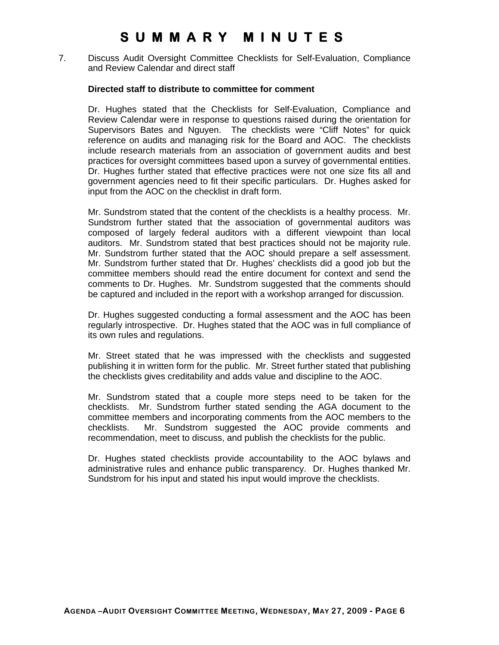7. Discuss Audit Oversight Committee Checklists for Self-Evaluation, Compliance and Review Calendar and direct staff

#### **Directed staff to distribute to committee for comment**

Dr. Hughes stated that the Checklists for Self-Evaluation, Compliance and Review Calendar were in response to questions raised during the orientation for Supervisors Bates and Nguyen. The checklists were "Cliff Notes" for quick reference on audits and managing risk for the Board and AOC. The checklists include research materials from an association of government audits and best practices for oversight committees based upon a survey of governmental entities. Dr. Hughes further stated that effective practices were not one size fits all and government agencies need to fit their specific particulars. Dr. Hughes asked for input from the AOC on the checklist in draft form.

Mr. Sundstrom stated that the content of the checklists is a healthy process. Mr. Sundstrom further stated that the association of governmental auditors was composed of largely federal auditors with a different viewpoint than local auditors. Mr. Sundstrom stated that best practices should not be majority rule. Mr. Sundstrom further stated that the AOC should prepare a self assessment. Mr. Sundstrom further stated that Dr. Hughes' checklists did a good job but the committee members should read the entire document for context and send the comments to Dr. Hughes. Mr. Sundstrom suggested that the comments should be captured and included in the report with a workshop arranged for discussion.

Dr. Hughes suggested conducting a formal assessment and the AOC has been regularly introspective. Dr. Hughes stated that the AOC was in full compliance of its own rules and regulations.

Mr. Street stated that he was impressed with the checklists and suggested publishing it in written form for the public. Mr. Street further stated that publishing the checklists gives creditability and adds value and discipline to the AOC.

Mr. Sundstrom stated that a couple more steps need to be taken for the checklists. Mr. Sundstrom further stated sending the AGA document to the committee members and incorporating comments from the AOC members to the checklists. Mr. Sundstrom suggested the AOC provide comments and recommendation, meet to discuss, and publish the checklists for the public.

Dr. Hughes stated checklists provide accountability to the AOC bylaws and administrative rules and enhance public transparency. Dr. Hughes thanked Mr. Sundstrom for his input and stated his input would improve the checklists.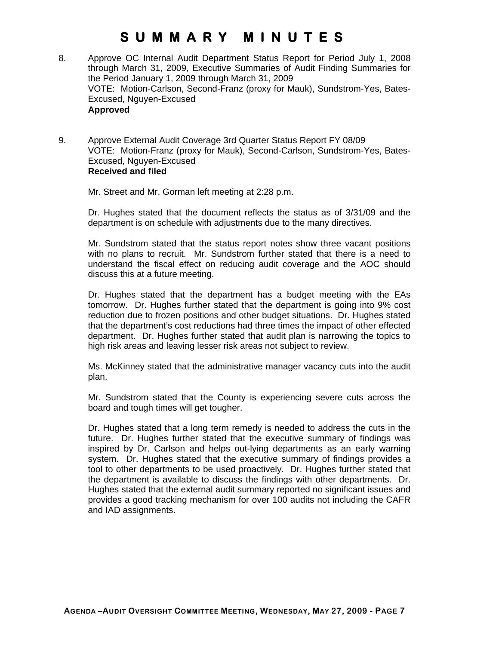- 8. Approve OC Internal Audit Department Status Report for Period July 1, 2008 through March 31, 2009, Executive Summaries of Audit Finding Summaries for the Period January 1, 2009 through March 31, 2009 VOTE: Motion-Carlson, Second-Franz (proxy for Mauk), Sundstrom-Yes, Bates-Excused, Nguyen-Excused **Approved**
- 9. Approve External Audit Coverage 3rd Quarter Status Report FY 08/09 VOTE: Motion-Franz (proxy for Mauk), Second-Carlson, Sundstrom-Yes, Bates-Excused, Nguyen-Excused  **Received and filed**

Mr. Street and Mr. Gorman left meeting at 2:28 p.m.

Dr. Hughes stated that the document reflects the status as of 3/31/09 and the department is on schedule with adjustments due to the many directives.

Mr. Sundstrom stated that the status report notes show three vacant positions with no plans to recruit. Mr. Sundstrom further stated that there is a need to understand the fiscal effect on reducing audit coverage and the AOC should discuss this at a future meeting.

Dr. Hughes stated that the department has a budget meeting with the EAs tomorrow. Dr. Hughes further stated that the department is going into 9% cost reduction due to frozen positions and other budget situations. Dr. Hughes stated that the department's cost reductions had three times the impact of other effected department. Dr. Hughes further stated that audit plan is narrowing the topics to high risk areas and leaving lesser risk areas not subject to review.

Ms. McKinney stated that the administrative manager vacancy cuts into the audit plan.

Mr. Sundstrom stated that the County is experiencing severe cuts across the board and tough times will get tougher.

Dr. Hughes stated that a long term remedy is needed to address the cuts in the future. Dr. Hughes further stated that the executive summary of findings was inspired by Dr. Carlson and helps out-lying departments as an early warning system. Dr. Hughes stated that the executive summary of findings provides a tool to other departments to be used proactively. Dr. Hughes further stated that the department is available to discuss the findings with other departments. Dr. Hughes stated that the external audit summary reported no significant issues and provides a good tracking mechanism for over 100 audits not including the CAFR and IAD assignments.